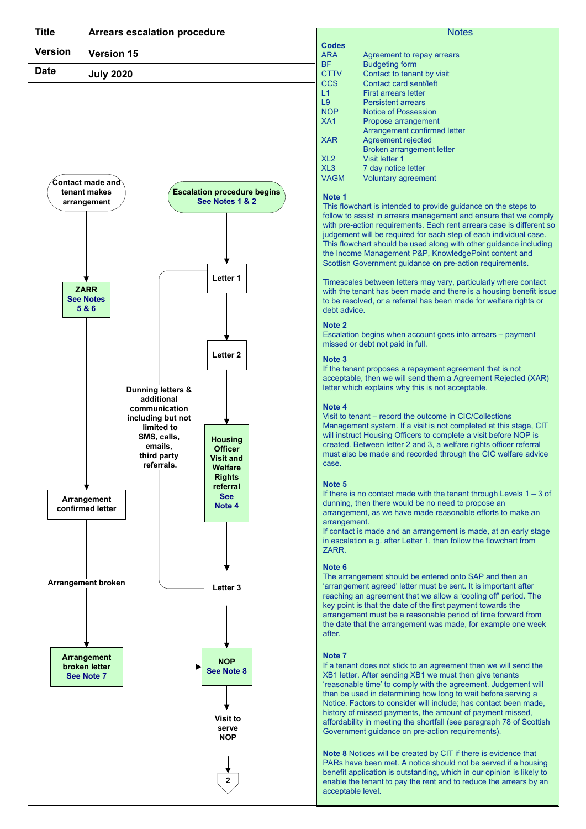

## **Notes**

|                          | <b>Notes</b>                                                                                                                             |
|--------------------------|------------------------------------------------------------------------------------------------------------------------------------------|
| <b>Codes</b>             |                                                                                                                                          |
| <b>ARA</b>               |                                                                                                                                          |
|                          | Agreement to repay arrears                                                                                                               |
| <b>BF</b><br><b>CTTV</b> | <b>Budgeting form</b><br>Contact to tenant by visit                                                                                      |
| <b>CCS</b>               | Contact card sent/left                                                                                                                   |
| L1                       | <b>First arrears letter</b>                                                                                                              |
| L <sub>9</sub>           | <b>Persistent arrears</b>                                                                                                                |
| <b>NOP</b><br>XA1        | <b>Notice of Possession</b><br>Propose arrangement                                                                                       |
|                          | Arrangement confirmed letter                                                                                                             |
| <b>XAR</b>               | Agreement rejected                                                                                                                       |
| XL <sub>2</sub>          | Broken arrangement letter<br>Visit letter 1                                                                                              |
| XL <sub>3</sub>          | 7 day notice letter                                                                                                                      |
|                          | Voluntary agreement                                                                                                                      |
| Note 1                   |                                                                                                                                          |
| <b>VAGM</b>              | This flowchart is intended to provide guidance on the steps to                                                                           |
|                          | follow to assist in arrears management and ensure that we comply<br>with pre-action requirements. Each rent arrears case is different so |

## Note 1

See Notes 1 & 2 This flowchart is intended to provide guidance on the steps to  $\parallel$ follow to assist in arrears management and ensure that we comply with pre-action requirements. Each rent arrears case is different so judgement will be required for each step of each individual case. This flowchart should be used along with other guidance including the Income Management P&P, KnowledgePoint content and Scottish Government guidance on pre-action requirements.

Letter 1  $\parallel$  Timescales between letters may vary, particularly where contact  $\parallel$ with the tenant has been made and there is a housing benefit issue to be resolved, or a referral has been made for welfare rights or debt advice.

## Note 2

Escalation begins when account goes into arrears – payment missed or debt not paid in full.

## Note 3

If the tenant proposes a repayment agreement that is not acceptable, then we will send them a Agreement Rejected (XAR) letter which explains why this is not acceptable.

## Note 4

Visit to tenant – record the outcome in CIC/Collections **Imited to CIT Imited to I Management system. If a visit is not completed at this stage, CIT** will instruct Housing Officers to complete a visit before NOP is created. Between letter 2 and 3, a welfare rights officer referral must also be made and recorded through the CIC welfare advice.

#### Note 5

Note 4 dunning, then there would be no need to propose an **Note 4** and Taylor and Taylor and Taylor and Taylor and Taylor and Taylor and Taylor and Taylor and Taylor and Taylor and Taylor and Taylor and Taylor and Taylor a If there is no contact made with the tenant through Levels  $1 - 3$  of arrangement, as we have made reasonable efforts to make an arrangement.

> If contact is made and an arrangement is made, at an early stage in escalation e.g. after Letter 1, then follow the flowchart from ZARR.

# Note 6

Letter 3 **Letter 3 and Strangement agreed' letter must be sent. It is important after** The arrangement should be entered onto SAP and then an reaching an agreement that we allow a 'cooling off' period. The key point is that the date of the first payment towards the arrangement must be a reasonable period of time forward from the date that the arrangement was made, for example one week after.

#### Note 7

NOP<br>If a tenant does not stick to an agreement then we will send the See Note 8<br>XB1 letter. After sending XB1 we must then give tenants 'reasonable time' to comply with the agreement. Judgement will then be used in determining how long to wait before serving a Notice. Factors to consider will include; has contact been made, history of missed payments, the amount of payment missed, affordability in meeting the shortfall (see paragraph 78 of Scottish Government guidance on pre-action requirements).

Note 8 Notices will be created by CIT if there is evidence that PARs have been met. A notice should not be served if a housing benefit application is outstanding, which in our opinion is likely to **2**  $\Box$  enable the tenant to pay the rent and to reduce the arrears by an  $\parallel$ acceptable level.